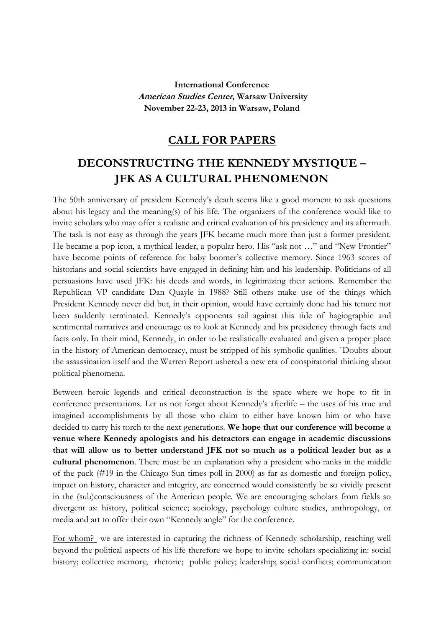**International Conference American Studies Center, Warsaw University November 22-23, 2013 in Warsaw, Poland**

## **CALL FOR PAPERS**

## **DECONSTRUCTING THE KENNEDY MYSTIQUE – JFK AS A CULTURAL PHENOMENON**

The 50th anniversary of president Kennedy's death seems like a good moment to ask questions about his legacy and the meaning(s) of his life. The organizers of the conference would like to invite scholars who may offer a realistic and critical evaluation of his presidency and its aftermath. The task is not easy as through the years JFK became much more than just a former president. He became a pop icon, a mythical leader, a popular hero. His "ask not ..." and "New Frontier" have become points of reference for baby boomer's collective memory. Since 1963 scores of historians and social scientists have engaged in defining him and his leadership. Politicians of all persuasions have used JFK: his deeds and words, in legitimizing their actions. Remember the Republican VP candidate Dan Quayle in 1988? Still others make use of the things which President Kennedy never did but, in their opinion, would have certainly done had his tenure not been suddenly terminated. Kennedy's opponents sail against this tide of hagiographic and sentimental narratives and encourage us to look at Kennedy and his presidency through facts and facts only. In their mind, Kennedy, in order to be realistically evaluated and given a proper place in the history of American democracy, must be stripped of his symbolic qualities. `Doubts about the assassination itself and the Warren Report ushered a new era of conspiratorial thinking about political phenomena.

Between heroic legends and critical deconstruction is the space where we hope to fit in conference presentations. Let us not forget about Kennedy's afterlife – the uses of his true and imagined accomplishments by all those who claim to either have known him or who have decided to carry his torch to the next generations. **We hope that our conference will become a venue where Kennedy apologists and his detractors can engage in academic discussions that will allow us to better understand JFK not so much as a political leader but as a cultural phenomenon**. There must be an explanation why a president who ranks in the middle of the pack (#19 in the Chicago Sun times poll in 2000) as far as domestic and foreign policy, impact on history, character and integrity, are concerned would consistently be so vividly present in the (sub)consciousness of the American people. We are encouraging scholars from fields so divergent as: history, political science; sociology, psychology culture studies, anthropology, or media and art to offer their own "Kennedy angle" for the conference.

For whom? we are interested in capturing the richness of Kennedy scholarship, reaching well beyond the political aspects of his life therefore we hope to invite scholars specializing in: social history; collective memory; rhetoric; public policy; leadership; social conflicts; communication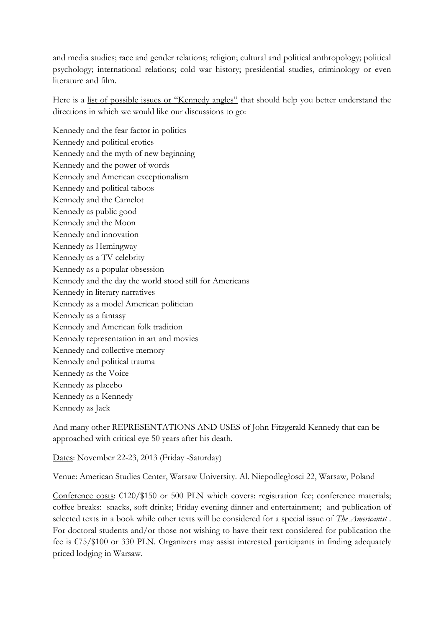and media studies; race and gender relations; religion; cultural and political anthropology; political psychology; international relations; cold war history; presidential studies, criminology or even literature and film.

Here is a list of possible issues or "Kennedy angles" that should help you better understand the directions in which we would like our discussions to go:

Kennedy and the fear factor in politics Kennedy and political erotics Kennedy and the myth of new beginning Kennedy and the power of words Kennedy and American exceptionalism Kennedy and political taboos Kennedy and the Camelot Kennedy as public good Kennedy and the Moon Kennedy and innovation Kennedy as Hemingway Kennedy as a TV celebrity Kennedy as a popular obsession Kennedy and the day the world stood still for Americans Kennedy in literary narratives Kennedy as a model American politician Kennedy as a fantasy Kennedy and American folk tradition Kennedy representation in art and movies Kennedy and collective memory Kennedy and political trauma Kennedy as the Voice Kennedy as placebo Kennedy as a Kennedy

Kennedy as Jack

And many other REPRESENTATIONS AND USES of John Fitzgerald Kennedy that can be approached with critical eye 50 years after his death.

Dates: November 22-23, 2013 (Friday -Saturday)

Venue: American Studies Center, Warsaw University. Al. Niepodległosci 22, Warsaw, Poland

Conference costs:  $\epsilon$ 120/\$150 or 500 PLN which covers: registration fee; conference materials; coffee breaks: snacks, soft drinks; Friday evening dinner and entertainment; and publication of selected texts in a book while other texts will be considered for a special issue of *The Americanist* . For doctoral students and/or those not wishing to have their text considered for publication the fee is €75/\$100 or 330 PLN. Organizers may assist interested participants in finding adequately priced lodging in Warsaw.